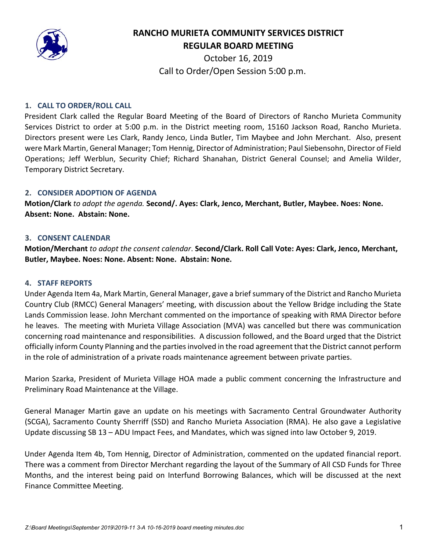

# **RANCHO MURIETA COMMUNITY SERVICES DISTRICT REGULAR BOARD MEETING**

October 16, 2019 Call to Order/Open Session 5:00 p.m.

### **1. CALL TO ORDER/ROLL CALL**

President Clark called the Regular Board Meeting of the Board of Directors of Rancho Murieta Community Services District to order at 5:00 p.m. in the District meeting room, 15160 Jackson Road, Rancho Murieta. Directors present were Les Clark, Randy Jenco, Linda Butler, Tim Maybee and John Merchant. Also, present were Mark Martin, General Manager; Tom Hennig, Director of Administration; Paul Siebensohn, Director of Field Operations; Jeff Werblun, Security Chief; Richard Shanahan, District General Counsel; and Amelia Wilder, Temporary District Secretary.

#### **2. CONSIDER ADOPTION OF AGENDA**

**Motion/Clark** *to adopt the agenda.* **Second/. Ayes: Clark, Jenco, Merchant, Butler, Maybee. Noes: None. Absent: None. Abstain: None.** 

#### **3. CONSENT CALENDAR**

**Motion/Merchant** *to adopt the consent calendar*. **Second/Clark. Roll Call Vote: Ayes: Clark, Jenco, Merchant, Butler, Maybee. Noes: None. Absent: None. Abstain: None.** 

#### **4. STAFF REPORTS**

Under Agenda Item 4a, Mark Martin, General Manager, gave a brief summary of the District and Rancho Murieta Country Club (RMCC) General Managers' meeting, with discussion about the Yellow Bridge including the State Lands Commission lease. John Merchant commented on the importance of speaking with RMA Director before he leaves. The meeting with Murieta Village Association (MVA) was cancelled but there was communication concerning road maintenance and responsibilities. A discussion followed, and the Board urged that the District officially inform County Planning and the parties involved in the road agreement that the District cannot perform in the role of administration of a private roads maintenance agreement between private parties.

Marion Szarka, President of Murieta Village HOA made a public comment concerning the Infrastructure and Preliminary Road Maintenance at the Village.

General Manager Martin gave an update on his meetings with Sacramento Central Groundwater Authority (SCGA), Sacramento County Sherriff (SSD) and Rancho Murieta Association (RMA). He also gave a Legislative Update discussing SB 13 – ADU Impact Fees, and Mandates, which was signed into law October 9, 2019.

Under Agenda Item 4b, Tom Hennig, Director of Administration, commented on the updated financial report. There was a comment from Director Merchant regarding the layout of the Summary of All CSD Funds for Three Months, and the interest being paid on Interfund Borrowing Balances, which will be discussed at the next Finance Committee Meeting.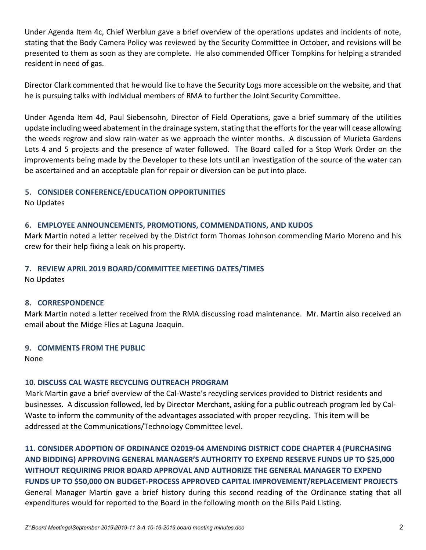Under Agenda Item 4c, Chief Werblun gave a brief overview of the operations updates and incidents of note, stating that the Body Camera Policy was reviewed by the Security Committee in October, and revisions will be presented to them as soon as they are complete. He also commended Officer Tompkins for helping a stranded resident in need of gas.

Director Clark commented that he would like to have the Security Logs more accessible on the website, and that he is pursuing talks with individual members of RMA to further the Joint Security Committee.

Under Agenda Item 4d, Paul Siebensohn, Director of Field Operations, gave a brief summary of the utilities update including weed abatement in the drainage system, stating that the efforts for the year will cease allowing the weeds regrow and slow rain-water as we approach the winter months. A discussion of Murieta Gardens Lots 4 and 5 projects and the presence of water followed. The Board called for a Stop Work Order on the improvements being made by the Developer to these lots until an investigation of the source of the water can be ascertained and an acceptable plan for repair or diversion can be put into place.

## **5. CONSIDER CONFERENCE/EDUCATION OPPORTUNITIES**

No Updates

## **6. EMPLOYEE ANNOUNCEMENTS, PROMOTIONS, COMMENDATIONS, AND KUDOS**

Mark Martin noted a letter received by the District form Thomas Johnson commending Mario Moreno and his crew for their help fixing a leak on his property.

## **7. REVIEW APRIL 2019 BOARD/COMMITTEE MEETING DATES/TIMES**

No Updates

### **8. CORRESPONDENCE**

Mark Martin noted a letter received from the RMA discussing road maintenance. Mr. Martin also received an email about the Midge Flies at Laguna Joaquin.

### **9. COMMENTS FROM THE PUBLIC**

None

## **10. DISCUSS CAL WASTE RECYCLING OUTREACH PROGRAM**

Mark Martin gave a brief overview of the Cal-Waste's recycling services provided to District residents and businesses. A discussion followed, led by Director Merchant, asking for a public outreach program led by Cal-Waste to inform the community of the advantages associated with proper recycling. This item will be addressed at the Communications/Technology Committee level.

**11. CONSIDER ADOPTION OF ORDINANCE O2019-04 AMENDING DISTRICT CODE CHAPTER 4 (PURCHASING AND BIDDING) APPROVING GENERAL MANAGER'S AUTHORITY TO EXPEND RESERVE FUNDS UP TO \$25,000 WITHOUT REQUIRING PRIOR BOARD APPROVAL AND AUTHORIZE THE GENERAL MANAGER TO EXPEND FUNDS UP TO \$50,000 ON BUDGET-PROCESS APPROVED CAPITAL IMPROVEMENT/REPLACEMENT PROJECTS** General Manager Martin gave a brief history during this second reading of the Ordinance stating that all expenditures would for reported to the Board in the following month on the Bills Paid Listing.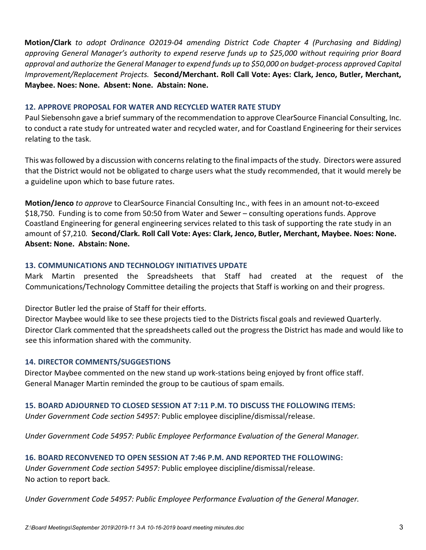**Motion/Clark** *to adopt Ordinance O2019-04 amending District Code Chapter 4 (Purchasing and Bidding) approving General Manager's authority to expend reserve funds up to \$25,000 without requiring prior Board approval and authorize the General Manager to expend funds up to \$50,000 on budget-process approved Capital Improvement/Replacement Projects.* **Second/Merchant. Roll Call Vote: Ayes: Clark, Jenco, Butler, Merchant, Maybee. Noes: None. Absent: None. Abstain: None.** 

### **12. APPROVE PROPOSAL FOR WATER AND RECYCLED WATER RATE STUDY**

Paul Siebensohn gave a brief summary of the recommendation to approve ClearSource Financial Consulting, Inc. to conduct a rate study for untreated water and recycled water, and for Coastland Engineering for their services relating to the task.

This was followed by a discussion with concerns relating to the final impacts of the study. Directors were assured that the District would not be obligated to charge users what the study recommended, that it would merely be a guideline upon which to base future rates.

**Motion/Jenco** *to approve* to ClearSource Financial Consulting Inc., with fees in an amount not-to-exceed \$18,750. Funding is to come from 50:50 from Water and Sewer – consulting operations funds. Approve Coastland Engineering for general engineering services related to this task of supporting the rate study in an amount of \$7,210*.* **Second/Clark. Roll Call Vote: Ayes: Clark, Jenco, Butler, Merchant, Maybee. Noes: None. Absent: None. Abstain: None.** 

## **13. COMMUNICATIONS AND TECHNOLOGY INITIATIVES UPDATE**

Mark Martin presented the Spreadsheets that Staff had created at the request of the Communications/Technology Committee detailing the projects that Staff is working on and their progress.

Director Butler led the praise of Staff for their efforts.

Director Maybee would like to see these projects tied to the Districts fiscal goals and reviewed Quarterly. Director Clark commented that the spreadsheets called out the progress the District has made and would like to see this information shared with the community.

### **14. DIRECTOR COMMENTS/SUGGESTIONS**

Director Maybee commented on the new stand up work-stations being enjoyed by front office staff. General Manager Martin reminded the group to be cautious of spam emails.

## **15. BOARD ADJOURNED TO CLOSED SESSION AT 7:11 P.M. TO DISCUSS THE FOLLOWING ITEMS:** *Under Government Code section 54957:* Public employee discipline/dismissal/release.

*Under Government Code 54957: Public Employee Performance Evaluation of the General Manager.*

# **16. BOARD RECONVENED TO OPEN SESSION AT 7:46 P.M. AND REPORTED THE FOLLOWING:**

*Under Government Code section 54957:* Public employee discipline/dismissal/release. No action to report back.

*Under Government Code 54957: Public Employee Performance Evaluation of the General Manager.*